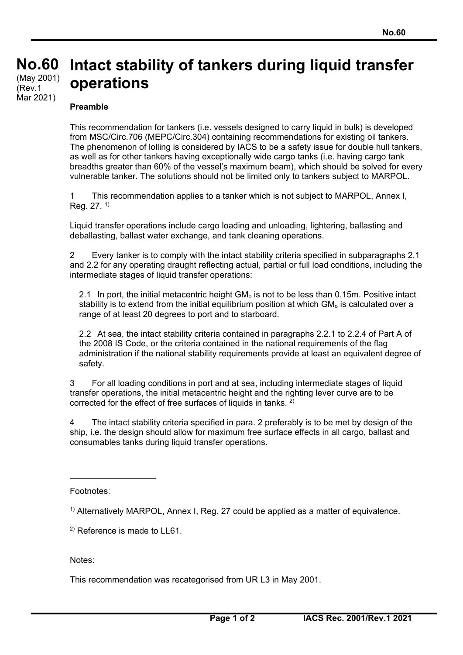## **No. No.60 60**  (Rev.1 Mar 2021) **Intact stability of tankers during liquid transfer operations**  (May 2001)

## **Preamble**

This recommendation for tankers (i.e. vessels designed to carry liquid in bulk) is developed from MSC/Circ.706 (MEPC/Circ.304) containing recommendations for existing oil tankers. The phenomenon of lolling is considered by IACS to be a safety issue for double hull tankers, as well as for other tankers having exceptionally wide cargo tanks (i.e. having cargo tank breadths greater than 60% of the vessel's maximum beam), which should be solved for every vulnerable tanker. The solutions should not be limited only to tankers subject to MARPOL.

1 This recommendation applies to a tanker which is not subject to MARPOL, Annex I, Reg. 27. 1)

Liquid transfer operations include cargo loading and unloading, lightering, ballasting and deballasting, ballast water exchange, and tank cleaning operations.

2 Every tanker is to comply with the intact stability criteria specified in subparagraphs 2.1 and 2.2 for any operating draught reflecting actual, partial or full load conditions, including the intermediate stages of liquid transfer operations:

2.1 In port, the initial metacentric height  $GM<sub>o</sub>$  is not to be less than 0.15m. Positive intact stability is to extend from the initial equilibrium position at which  $GM<sub>o</sub>$  is calculated over a range of at least 20 degrees to port and to starboard.

2.2 At sea, the intact stability criteria contained in paragraphs 2.2.1 to 2.2.4 of Part A of the 2008 IS Code, or the criteria contained in the national requirements of the flag administration if the national stability requirements provide at least an equivalent degree of safety.

3 For all loading conditions in port and at sea, including intermediate stages of liquid transfer operations, the initial metacentric height and the righting lever curve are to be corrected for the effect of free surfaces of liquids in tanks. 2)

4 The intact stability criteria specified in para. 2 preferably is to be met by design of the ship, i.e. the design should allow for maximum free surface effects in all cargo, ballast and consumables tanks during liquid transfer operations.

Footnotes:

1) Alternatively MARPOL, Annex I, Reg. 27 could be applied as a matter of equivalence.

2) Reference is made to LL61.

Notes:

 $\overline{a}$ 

This recommendation was recategorised from UR L3 in May 2001.